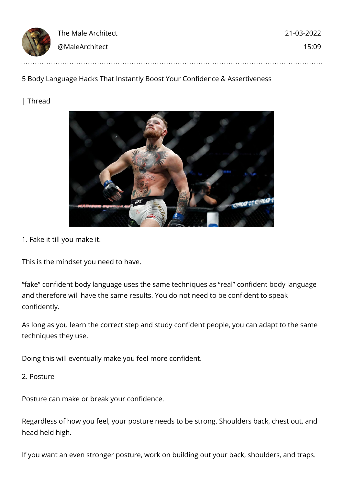| 13 | The Male Architect | 21-03-2022 |
|----|--------------------|------------|
|    | @MaleArchitect     | 15:09      |

## 5 Body Language Hacks That Instantly Boost Your Confidence & Assertiveness

| Thread



1. Fake it till you make it.

This is the mindset you need to have.

"fake" confident body language uses the same techniques as "real" confident body language and therefore will have the same results. You do not need to be confident to speak confidently.

As long as you learn the correct step and study confident people, you can adapt to the same techniques they use.

Doing this will eventually make you feel more confident.

2. Posture

Posture can make or break your confidence.

Regardless of how you feel, your posture needs to be strong. Shoulders back, chest out, and head held high.

If you want an even stronger posture, work on building out your back, shoulders, and traps.